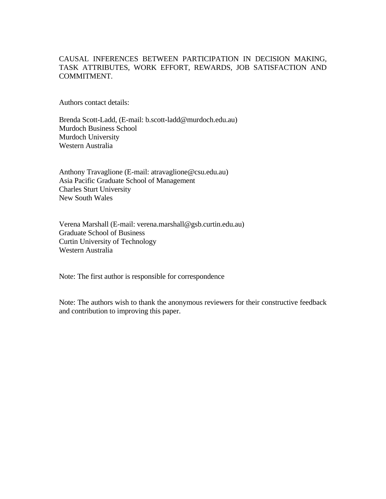### CAUSAL INFERENCES BETWEEN PARTICIPATION IN DECISION MAKING, TASK ATTRIBUTES, WORK EFFORT, REWARDS, JOB SATISFACTION AND COMMITMENT.

Authors contact details:

Brenda Scott-Ladd, (E-mail: b.scott-ladd@murdoch.edu.au) Murdoch Business School Murdoch University Western Australia

Anthony Travaglione (E-mail: atravaglione@csu.edu.au) Asia Pacific Graduate School of Management Charles Sturt University New South Wales

Verena Marshall (E-mail: verena.marshall@gsb.curtin.edu.au) Graduate School of Business Curtin University of Technology Western Australia

Note: The first author is responsible for correspondence

Note: The authors wish to thank the anonymous reviewers for their constructive feedback and contribution to improving this paper.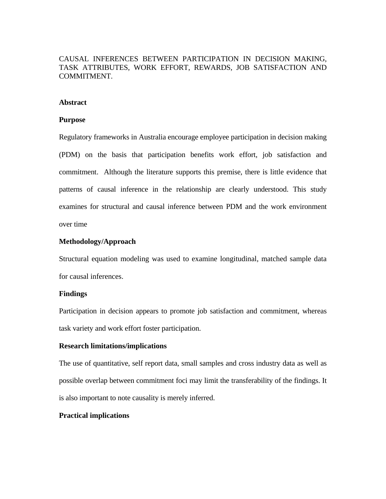### CAUSAL INFERENCES BETWEEN PARTICIPATION IN DECISION MAKING, TASK ATTRIBUTES, WORK EFFORT, REWARDS, JOB SATISFACTION AND COMMITMENT.

### **Abstract**

#### **Purpose**

Regulatory frameworks in Australia encourage employee participation in decision making (PDM) on the basis that participation benefits work effort, job satisfaction and commitment. Although the literature supports this premise, there is little evidence that patterns of causal inference in the relationship are clearly understood. This study examines for structural and causal inference between PDM and the work environment over time

### **Methodology/Approach**

Structural equation modeling was used to examine longitudinal, matched sample data for causal inferences.

#### **Findings**

Participation in decision appears to promote job satisfaction and commitment, whereas task variety and work effort foster participation.

#### **Research limitations/implications**

The use of quantitative, self report data, small samples and cross industry data as well as possible overlap between commitment foci may limit the transferability of the findings. It is also important to note causality is merely inferred.

#### **Practical implications**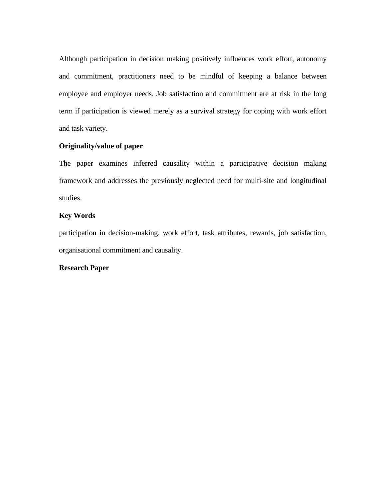Although participation in decision making positively influences work effort, autonomy and commitment, practitioners need to be mindful of keeping a balance between employee and employer needs. Job satisfaction and commitment are at risk in the long term if participation is viewed merely as a survival strategy for coping with work effort and task variety.

### **Originality/value of paper**

The paper examines inferred causality within a participative decision making framework and addresses the previously neglected need for multi-site and longitudinal studies.

### **Key Words**

participation in decision-making, work effort, task attributes, rewards, job satisfaction, organisational commitment and causality.

### **Research Paper**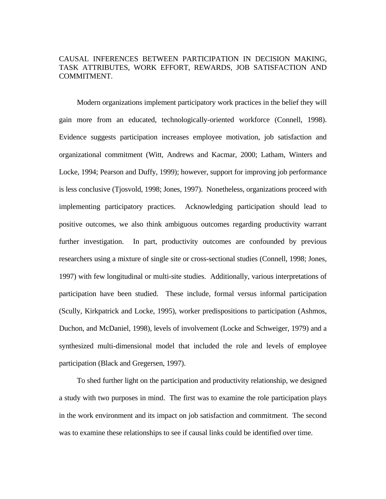### CAUSAL INFERENCES BETWEEN PARTICIPATION IN DECISION MAKING, TASK ATTRIBUTES, WORK EFFORT, REWARDS, JOB SATISFACTION AND COMMITMENT.

Modern organizations implement participatory work practices in the belief they will gain more from an educated, technologically-oriented workforce (Connell, 1998). Evidence suggests participation increases employee motivation, job satisfaction and organizational commitment (Witt, Andrews and Kacmar, 2000; Latham, Winters and Locke, 1994; Pearson and Duffy, 1999); however, support for improving job performance is less conclusive (Tjosvold, 1998; Jones, 1997). Nonetheless, organizations proceed with implementing participatory practices. Acknowledging participation should lead to positive outcomes, we also think ambiguous outcomes regarding productivity warrant further investigation. In part, productivity outcomes are confounded by previous researchers using a mixture of single site or cross-sectional studies (Connell, 1998; Jones, 1997) with few longitudinal or multi-site studies. Additionally, various interpretations of participation have been studied. These include, formal versus informal participation (Scully, Kirkpatrick and Locke, 1995), worker predispositions to participation (Ashmos, Duchon, and McDaniel, 1998), levels of involvement (Locke and Schweiger, 1979) and a synthesized multi-dimensional model that included the role and levels of employee participation (Black and Gregersen, 1997).

To shed further light on the participation and productivity relationship, we designed a study with two purposes in mind. The first was to examine the role participation plays in the work environment and its impact on job satisfaction and commitment. The second was to examine these relationships to see if causal links could be identified over time.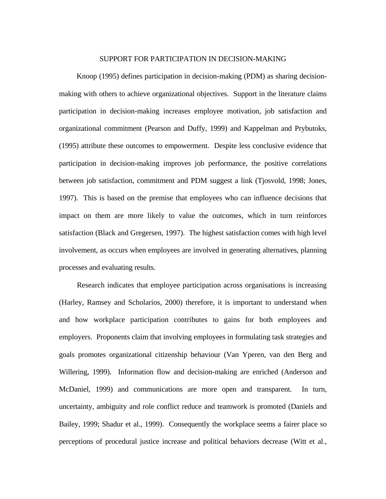### SUPPORT FOR PARTICIPATION IN DECISION-MAKING

Knoop (1995) defines participation in decision-making (PDM) as sharing decisionmaking with others to achieve organizational objectives. Support in the literature claims participation in decision-making increases employee motivation, job satisfaction and organizational commitment (Pearson and Duffy, 1999) and Kappelman and Prybutoks, (1995) attribute these outcomes to empowerment. Despite less conclusive evidence that participation in decision-making improves job performance, the positive correlations between job satisfaction, commitment and PDM suggest a link (Tjosvold, 1998; Jones, 1997). This is based on the premise that employees who can influence decisions that impact on them are more likely to value the outcomes, which in turn reinforces satisfaction (Black and Gregersen, 1997). The highest satisfaction comes with high level involvement, as occurs when employees are involved in generating alternatives, planning processes and evaluating results.

Research indicates that employee participation across organisations is increasing (Harley, Ramsey and Scholarios, 2000) therefore, it is important to understand when and how workplace participation contributes to gains for both employees and employers. Proponents claim that involving employees in formulating task strategies and goals promotes organizational citizenship behaviour (Van Yperen, van den Berg and Willering, 1999). Information flow and decision-making are enriched (Anderson and McDaniel, 1999) and communications are more open and transparent. In turn, uncertainty, ambiguity and role conflict reduce and teamwork is promoted (Daniels and Bailey, 1999; Shadur et al., 1999). Consequently the workplace seems a fairer place so perceptions of procedural justice increase and political behaviors decrease (Witt et al.,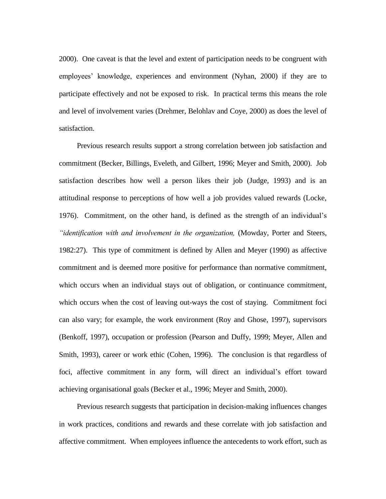2000). One caveat is that the level and extent of participation needs to be congruent with employees' knowledge, experiences and environment (Nyhan, 2000) if they are to participate effectively and not be exposed to risk. In practical terms this means the role and level of involvement varies (Drehmer, Belohlav and Coye, 2000) as does the level of satisfaction.

Previous research results support a strong correlation between job satisfaction and commitment (Becker, Billings, Eveleth, and Gilbert, 1996; Meyer and Smith, 2000). Job satisfaction describes how well a person likes their job (Judge, 1993) and is an attitudinal response to perceptions of how well a job provides valued rewards (Locke, 1976). Commitment, on the other hand, is defined as the strength of an individual's *"identification with and involvement in the organization,* (Mowday, Porter and Steers, 1982:27). This type of commitment is defined by Allen and Meyer (1990) as affective commitment and is deemed more positive for performance than normative commitment, which occurs when an individual stays out of obligation, or continuance commitment, which occurs when the cost of leaving out-ways the cost of staying. Commitment foci can also vary; for example, the work environment (Roy and Ghose, 1997), supervisors (Benkoff, 1997), occupation or profession (Pearson and Duffy, 1999; Meyer, Allen and Smith, 1993), career or work ethic (Cohen, 1996). The conclusion is that regardless of foci, affective commitment in any form, will direct an individual's effort toward achieving organisational goals (Becker et al., 1996; Meyer and Smith, 2000).

Previous research suggests that participation in decision-making influences changes in work practices, conditions and rewards and these correlate with job satisfaction and affective commitment. When employees influence the antecedents to work effort, such as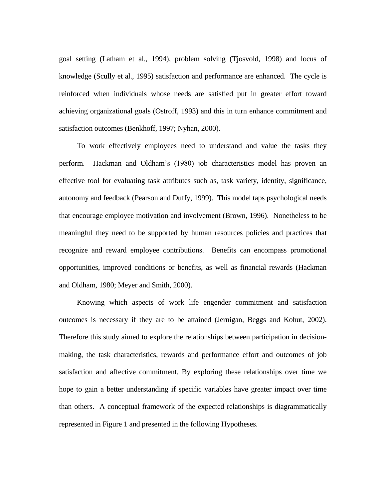goal setting (Latham et al., 1994), problem solving (Tjosvold, 1998) and locus of knowledge (Scully et al., 1995) satisfaction and performance are enhanced. The cycle is reinforced when individuals whose needs are satisfied put in greater effort toward achieving organizational goals (Ostroff, 1993) and this in turn enhance commitment and satisfaction outcomes (Benkhoff, 1997; Nyhan, 2000).

To work effectively employees need to understand and value the tasks they perform. Hackman and Oldham's (1980) job characteristics model has proven an effective tool for evaluating task attributes such as, task variety, identity, significance, autonomy and feedback (Pearson and Duffy, 1999). This model taps psychological needs that encourage employee motivation and involvement (Brown, 1996). Nonetheless to be meaningful they need to be supported by human resources policies and practices that recognize and reward employee contributions. Benefits can encompass promotional opportunities, improved conditions or benefits, as well as financial rewards (Hackman and Oldham, 1980; Meyer and Smith, 2000).

Knowing which aspects of work life engender commitment and satisfaction outcomes is necessary if they are to be attained (Jernigan, Beggs and Kohut, 2002). Therefore this study aimed to explore the relationships between participation in decisionmaking, the task characteristics, rewards and performance effort and outcomes of job satisfaction and affective commitment. By exploring these relationships over time we hope to gain a better understanding if specific variables have greater impact over time than others. A conceptual framework of the expected relationships is diagrammatically represented in Figure 1 and presented in the following Hypotheses.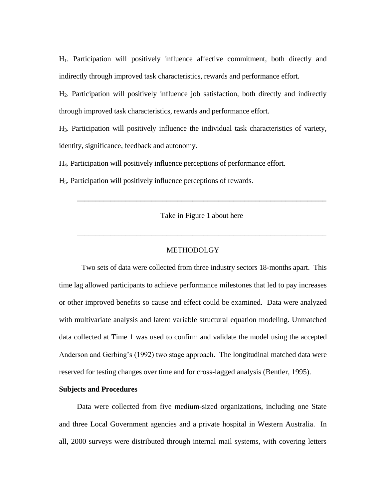H1. Participation will positively influence affective commitment, both directly and indirectly through improved task characteristics, rewards and performance effort.

H2. Participation will positively influence job satisfaction, both directly and indirectly through improved task characteristics, rewards and performance effort.

H3. Participation will positively influence the individual task characteristics of variety, identity, significance, feedback and autonomy.

H4. Participation will positively influence perceptions of performance effort.

H5. Participation will positively influence perceptions of rewards.

Take in Figure 1 about here

\_\_\_\_\_\_\_\_\_\_\_\_\_\_\_\_\_\_\_\_\_\_\_\_\_\_\_\_\_\_\_\_\_\_\_\_\_\_\_\_\_\_\_\_\_\_\_\_\_\_\_\_\_\_\_\_\_\_\_\_\_\_\_\_\_\_\_

**\_\_\_\_\_\_\_\_\_\_\_\_\_\_\_\_\_\_\_\_\_\_\_\_\_\_\_\_\_\_\_\_\_\_\_\_\_\_\_\_\_\_\_\_\_\_\_\_\_\_\_\_\_\_\_\_\_\_\_\_\_\_\_\_\_\_\_**

### **METHODOLGY**

Two sets of data were collected from three industry sectors 18-months apart. This time lag allowed participants to achieve performance milestones that led to pay increases or other improved benefits so cause and effect could be examined. Data were analyzed with multivariate analysis and latent variable structural equation modeling. Unmatched data collected at Time 1 was used to confirm and validate the model using the accepted Anderson and Gerbing's (1992) two stage approach. The longitudinal matched data were reserved for testing changes over time and for cross-lagged analysis (Bentler, 1995).

### **Subjects and Procedures**

Data were collected from five medium-sized organizations, including one State and three Local Government agencies and a private hospital in Western Australia. In all, 2000 surveys were distributed through internal mail systems, with covering letters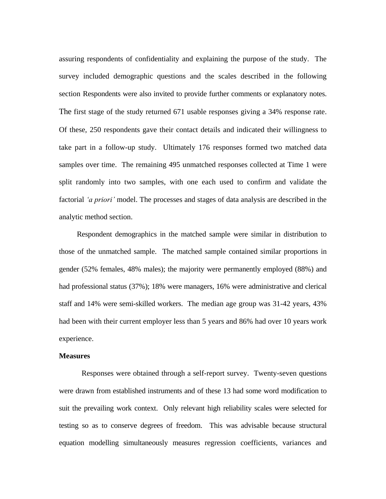assuring respondents of confidentiality and explaining the purpose of the study. The survey included demographic questions and the scales described in the following section Respondents were also invited to provide further comments or explanatory notes. The first stage of the study returned 671 usable responses giving a 34% response rate. Of these, 250 respondents gave their contact details and indicated their willingness to take part in a follow-up study. Ultimately 176 responses formed two matched data samples over time. The remaining 495 unmatched responses collected at Time 1 were split randomly into two samples, with one each used to confirm and validate the factorial *"a priori"* model. The processes and stages of data analysis are described in the analytic method section.

Respondent demographics in the matched sample were similar in distribution to those of the unmatched sample. The matched sample contained similar proportions in gender (52% females, 48% males); the majority were permanently employed (88%) and had professional status (37%); 18% were managers, 16% were administrative and clerical staff and 14% were semi-skilled workers. The median age group was 31-42 years, 43% had been with their current employer less than 5 years and 86% had over 10 years work experience.

#### **Measures**

Responses were obtained through a self-report survey. Twenty-seven questions were drawn from established instruments and of these 13 had some word modification to suit the prevailing work context. Only relevant high reliability scales were selected for testing so as to conserve degrees of freedom. This was advisable because structural equation modelling simultaneously measures regression coefficients, variances and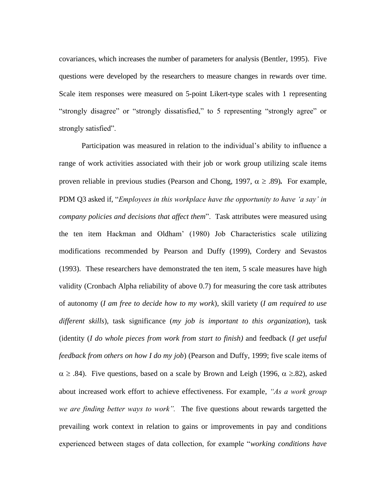covariances, which increases the number of parameters for analysis (Bentler, 1995). Five questions were developed by the researchers to measure changes in rewards over time. Scale item responses were measured on 5-point Likert-type scales with 1 representing "strongly disagree" or "strongly dissatisfied," to 5 representing "strongly agree" or strongly satisfied".

Participation was measured in relation to the individual's ability to influence a range of work activities associated with their job or work group utilizing scale items proven reliable in previous studies (Pearson and Chong, 1997,  $\alpha \geq .89$ ). For example, PDM Q3 asked if, "*Employees in this workplace have the opportunity to have "a say" in company policies and decisions that affect them*". Task attributes were measured using the ten item Hackman and Oldham' (1980) Job Characteristics scale utilizing modifications recommended by Pearson and Duffy (1999), Cordery and Sevastos (1993). These researchers have demonstrated the ten item, 5 scale measures have high validity (Cronbach Alpha reliability of above 0.7) for measuring the core task attributes of autonomy (*I am free to decide how to my work*), skill variety (*I am required to use different skills*), task significance (*my job is important to this organization*), task (identity (*I do whole pieces from work from start to finish)* and feedback (*I get useful feedback from others on how I do my job*) (Pearson and Duffy, 1999; five scale items of  $\alpha \geq .84$ ). Five questions, based on a scale by Brown and Leigh (1996,  $\alpha \geq .82$ ), asked about increased work effort to achieve effectiveness. For example, *"As a work group we are finding better ways to work".* The five questions about rewards targetted the prevailing work context in relation to gains or improvements in pay and conditions experienced between stages of data collection, for example "*working conditions have*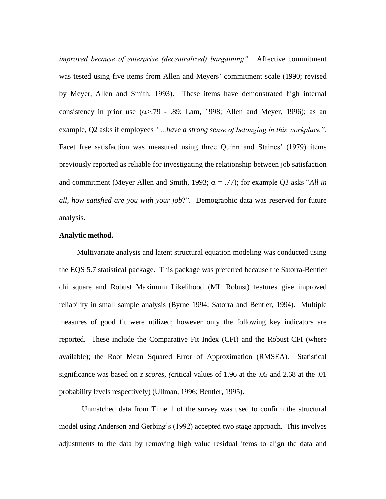*improved because of enterprise (decentralized) bargaining".* Affective commitment was tested using five items from Allen and Meyers' commitment scale (1990; revised by Meyer, Allen and Smith, 1993). These items have demonstrated high internal consistency in prior use  $(\alpha > 0.79 - 0.89)$ ; Lam, 1998; Allen and Meyer, 1996); as an example, Q2 asks if employees *"…have a strong sense of belonging in this workplace".*  Facet free satisfaction was measured using three Quinn and Staines' (1979) items previously reported as reliable for investigating the relationship between job satisfaction and commitment (Meyer Allen and Smith, 1993;  $\alpha = .77$ ); for example Q3 asks "*All in all, how satisfied are you with your job*?". Demographic data was reserved for future analysis.

### **Analytic method.**

Multivariate analysis and latent structural equation modeling was conducted using the EQS 5.7 statistical package. This package was preferred because the Satorra-Bentler chi square and Robust Maximum Likelihood (ML Robust) features give improved reliability in small sample analysis (Byrne 1994; Satorra and Bentler, 1994). Multiple measures of good fit were utilized; however only the following key indicators are reported. These include the Comparative Fit Index (CFI) and the Robust CFI (where available); the Root Mean Squared Error of Approximation (RMSEA). Statistical significance was based on *z scores, (*critical values of 1.96 at the .05 and 2.68 at the .01 probability levels respectively) (Ullman, 1996; Bentler, 1995).

Unmatched data from Time 1 of the survey was used to confirm the structural model using Anderson and Gerbing's (1992) accepted two stage approach. This involves adjustments to the data by removing high value residual items to align the data and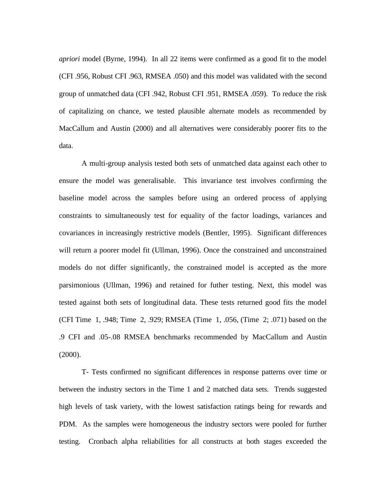*apriori* model (Byrne, 1994). In all 22 items were confirmed as a good fit to the model (CFI .956, Robust CFI .963, RMSEA .050) and this model was validated with the second group of unmatched data (CFI .942, Robust CFI .951, RMSEA .059). To reduce the risk of capitalizing on chance, we tested plausible alternate models as recommended by MacCallum and Austin (2000) and all alternatives were considerably poorer fits to the data.

A multi-group analysis tested both sets of unmatched data against each other to ensure the model was generalisable. This invariance test involves confirming the baseline model across the samples before using an ordered process of applying constraints to simultaneously test for equality of the factor loadings, variances and covariances in increasingly restrictive models (Bentler, 1995). Significant differences will return a poorer model fit (Ullman, 1996). Once the constrained and unconstrained models do not differ significantly, the constrained model is accepted as the more parsimonious (Ullman, 1996) and retained for futher testing. Next, this model was tested against both sets of longitudinal data. These tests returned good fits the model (CFI Time 1, .948; Time 2, .929; RMSEA (Time 1, .056, (Time 2; .071) based on the .9 CFI and .05-.08 RMSEA benchmarks recommended by MacCallum and Austin (2000).

T- Tests confirmed no significant differences in response patterns over time or between the industry sectors in the Time 1 and 2 matched data sets. Trends suggested high levels of task variety, with the lowest satisfaction ratings being for rewards and PDM. As the samples were homogeneous the industry sectors were pooled for further testing. Cronbach alpha reliabilities for all constructs at both stages exceeded the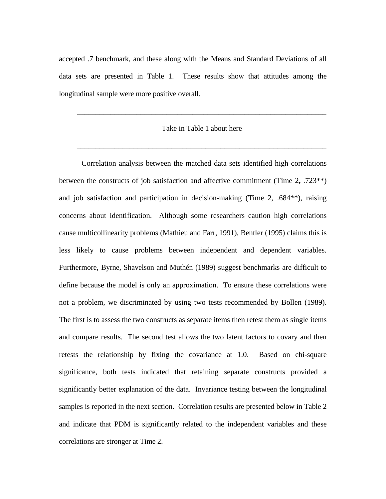accepted .7 benchmark, and these along with the Means and Standard Deviations of all data sets are presented in Table 1. These results show that attitudes among the longitudinal sample were more positive overall.

### Take in Table 1 about here

\_\_\_\_\_\_\_\_\_\_\_\_\_\_\_\_\_\_\_\_\_\_\_\_\_\_\_\_\_\_\_\_\_\_\_\_\_\_\_\_\_\_\_\_\_\_\_\_\_\_\_\_\_\_\_\_\_\_\_\_\_\_\_\_\_\_

**\_\_\_\_\_\_\_\_\_\_\_\_\_\_\_\_\_\_\_\_\_\_\_\_\_\_\_\_\_\_\_\_\_\_\_\_\_\_\_\_\_\_\_\_\_\_\_\_\_\_\_\_\_\_\_\_\_\_\_\_\_\_\_\_\_\_\_**

Correlation analysis between the matched data sets identified high correlations between the constructs of job satisfaction and affective commitment (Time 2**,** .723\*\*) and job satisfaction and participation in decision-making (Time 2, .684\*\*), raising concerns about identification. Although some researchers caution high correlations cause multicollinearity problems (Mathieu and Farr, 1991), Bentler (1995) claims this is less likely to cause problems between independent and dependent variables. Furthermore, Byrne, Shavelson and Muthén (1989) suggest benchmarks are difficult to define because the model is only an approximation. To ensure these correlations were not a problem, we discriminated by using two tests recommended by Bollen (1989). The first is to assess the two constructs as separate items then retest them as single items and compare results. The second test allows the two latent factors to covary and then retests the relationship by fixing the covariance at 1.0. Based on chi-square significance, both tests indicated that retaining separate constructs provided a significantly better explanation of the data. Invariance testing between the longitudinal samples is reported in the next section. Correlation results are presented below in Table 2 and indicate that PDM is significantly related to the independent variables and these correlations are stronger at Time 2.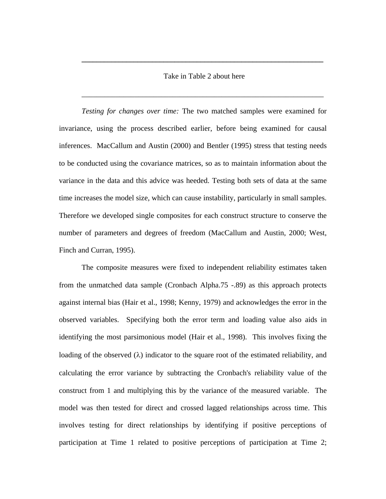### Take in Table 2 about here

\_\_\_\_\_\_\_\_\_\_\_\_\_\_\_\_\_\_\_\_\_\_\_\_\_\_\_\_\_\_\_\_\_\_\_\_\_\_\_\_\_\_\_\_\_\_\_\_\_\_\_\_\_\_\_\_\_\_\_\_\_\_\_\_

**\_\_\_\_\_\_\_\_\_\_\_\_\_\_\_\_\_\_\_\_\_\_\_\_\_\_\_\_\_\_\_\_\_\_\_\_\_\_\_\_\_\_\_\_\_\_\_\_\_\_\_\_\_\_\_\_\_\_\_\_\_\_\_\_\_**

*Testing for changes over time:* The two matched samples were examined for invariance, using the process described earlier, before being examined for causal inferences. MacCallum and Austin (2000) and Bentler (1995) stress that testing needs to be conducted using the covariance matrices, so as to maintain information about the variance in the data and this advice was heeded. Testing both sets of data at the same time increases the model size, which can cause instability, particularly in small samples. Therefore we developed single composites for each construct structure to conserve the number of parameters and degrees of freedom (MacCallum and Austin, 2000; West, Finch and Curran, 1995).

The composite measures were fixed to independent reliability estimates taken from the unmatched data sample (Cronbach Alpha.75 -.89) as this approach protects against internal bias (Hair et al., 1998; Kenny, 1979) and acknowledges the error in the observed variables. Specifying both the error term and loading value also aids in identifying the most parsimonious model (Hair et al., 1998). This involves fixing the loading of the observed  $(\lambda)$  indicator to the square root of the estimated reliability, and calculating the error variance by subtracting the Cronbach's reliability value of the construct from 1 and multiplying this by the variance of the measured variable. The model was then tested for direct and crossed lagged relationships across time. This involves testing for direct relationships by identifying if positive perceptions of participation at Time 1 related to positive perceptions of participation at Time 2;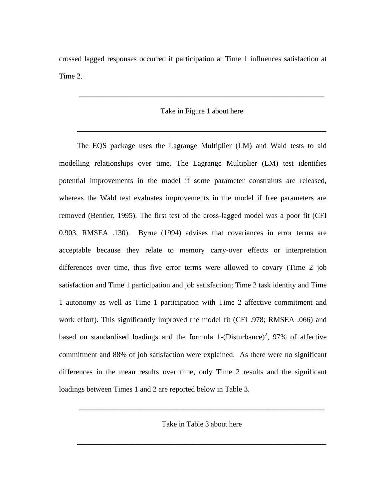crossed lagged responses occurred if participation at Time 1 influences satisfaction at Time 2.

### Take in Figure 1 about here

**\_\_\_\_\_\_\_\_\_\_\_\_\_\_\_\_\_\_\_\_\_\_\_\_\_\_\_\_\_\_\_\_\_\_\_\_\_\_\_\_\_\_\_\_\_\_\_\_\_\_\_\_\_\_\_\_\_\_\_\_\_\_\_\_\_\_\_**

**\_\_\_\_\_\_\_\_\_\_\_\_\_\_\_\_\_\_\_\_\_\_\_\_\_\_\_\_\_\_\_\_\_\_\_\_\_\_\_\_\_\_\_\_\_\_\_\_\_\_\_\_\_\_\_\_\_\_\_\_\_\_\_\_\_\_**

The EQS package uses the Lagrange Multiplier (LM) and Wald tests to aid modelling relationships over time. The Lagrange Multiplier (LM) test identifies potential improvements in the model if some parameter constraints are released, whereas the Wald test evaluates improvements in the model if free parameters are removed (Bentler, 1995). The first test of the cross-lagged model was a poor fit (CFI 0.903, RMSEA .130). Byrne (1994) advises that covariances in error terms are acceptable because they relate to memory carry-over effects or interpretation differences over time, thus five error terms were allowed to covary (Time 2 job satisfaction and Time 1 participation and job satisfaction; Time 2 task identity and Time 1 autonomy as well as Time 1 participation with Time 2 affective commitment and work effort). This significantly improved the model fit (CFI .978; RMSEA .066) and based on standardised loadings and the formula 1- $(Disturbance)^2$ , 97% of affective commitment and 88% of job satisfaction were explained. As there were no significant differences in the mean results over time, only Time 2 results and the significant loadings between Times 1 and 2 are reported below in Table 3.

Take in Table 3 about here

**\_\_\_\_\_\_\_\_\_\_\_\_\_\_\_\_\_\_\_\_\_\_\_\_\_\_\_\_\_\_\_\_\_\_\_\_\_\_\_\_\_\_\_\_\_\_\_\_\_\_\_\_\_\_\_\_\_\_\_\_\_\_\_\_\_\_\_**

**\_\_\_\_\_\_\_\_\_\_\_\_\_\_\_\_\_\_\_\_\_\_\_\_\_\_\_\_\_\_\_\_\_\_\_\_\_\_\_\_\_\_\_\_\_\_\_\_\_\_\_\_\_\_\_\_\_\_\_\_\_\_\_\_\_\_**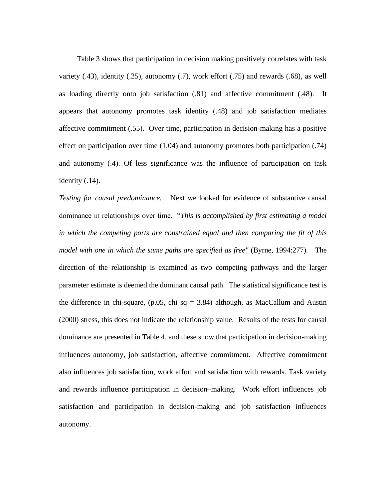Table 3 shows that participation in decision making positively correlates with task variety (.43), identity (.25), autonomy (.7), work effort (.75) and rewards (.68), as well as loading directly onto job satisfaction (.81) and affective commitment (.48). It appears that autonomy promotes task identity (.48) and job satisfaction mediates affective commitment (.55). Over time, participation in decision-making has a positive effect on participation over time (1.04) and autonomy promotes both participation (.74) and autonomy (.4). Of less significance was the influence of participation on task identity (.14).

*Testing for causal predominance.* Next we looked for evidence of substantive causal dominance in relationships over time. "*This is accomplished by first estimating a model in which the competing parts are constrained equal and then comparing the fit of this model with one in which the same paths are specified as free"* (Byrne, 1994:277). The direction of the relationship is examined as two competing pathways and the larger parameter estimate is deemed the dominant causal path. The statistical significance test is the difference in chi-square,  $(p.05, chi sq = 3.84)$  although, as MacCallum and Austin (2000) stress, this does not indicate the relationship value. Results of the tests for causal dominance are presented in Table 4, and these show that participation in decision-making influences autonomy, job satisfaction, affective commitment. Affective commitment also influences job satisfaction, work effort and satisfaction with rewards. Task variety and rewards influence participation in decision–making. Work effort influences job satisfaction and participation in decision-making and job satisfaction influences autonomy.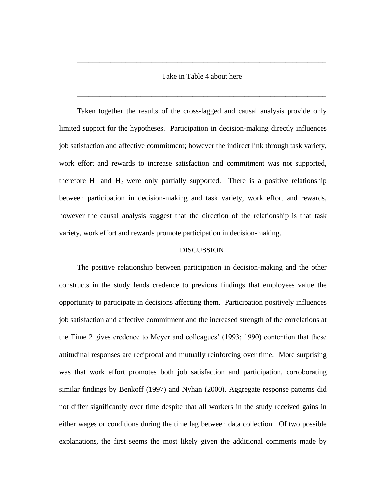### Take in Table 4 about here

**\_\_\_\_\_\_\_\_\_\_\_\_\_\_\_\_\_\_\_\_\_\_\_\_\_\_\_\_\_\_\_\_\_\_\_\_\_\_\_\_\_\_\_\_\_\_\_\_\_\_\_\_\_\_\_\_\_\_\_\_\_\_\_\_\_\_\_**

**\_\_\_\_\_\_\_\_\_\_\_\_\_\_\_\_\_\_\_\_\_\_\_\_\_\_\_\_\_\_\_\_\_\_\_\_\_\_\_\_\_\_\_\_\_\_\_\_\_\_\_\_\_\_\_\_\_\_\_\_\_\_\_\_\_\_\_**

Taken together the results of the cross-lagged and causal analysis provide only limited support for the hypotheses. Participation in decision-making directly influences job satisfaction and affective commitment; however the indirect link through task variety, work effort and rewards to increase satisfaction and commitment was not supported, therefore  $H_1$  and  $H_2$  were only partially supported. There is a positive relationship between participation in decision-making and task variety, work effort and rewards, however the causal analysis suggest that the direction of the relationship is that task variety, work effort and rewards promote participation in decision-making.

#### DISCUSSION

The positive relationship between participation in decision-making and the other constructs in the study lends credence to previous findings that employees value the opportunity to participate in decisions affecting them. Participation positively influences job satisfaction and affective commitment and the increased strength of the correlations at the Time 2 gives credence to Meyer and colleagues' (1993; 1990) contention that these attitudinal responses are reciprocal and mutually reinforcing over time. More surprising was that work effort promotes both job satisfaction and participation, corroborating similar findings by Benkoff (1997) and Nyhan (2000). Aggregate response patterns did not differ significantly over time despite that all workers in the study received gains in either wages or conditions during the time lag between data collection. Of two possible explanations, the first seems the most likely given the additional comments made by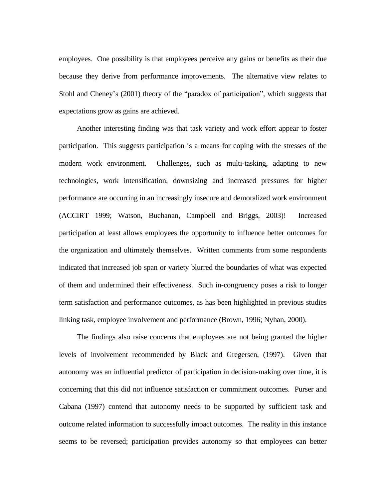employees. One possibility is that employees perceive any gains or benefits as their due because they derive from performance improvements. The alternative view relates to Stohl and Cheney's (2001) theory of the "paradox of participation", which suggests that expectations grow as gains are achieved.

Another interesting finding was that task variety and work effort appear to foster participation. This suggests participation is a means for coping with the stresses of the modern work environment. Challenges, such as multi-tasking, adapting to new technologies, work intensification, downsizing and increased pressures for higher performance are occurring in an increasingly insecure and demoralized work environment (ACCIRT 1999; Watson, Buchanan, Campbell and Briggs, 2003)! Increased participation at least allows employees the opportunity to influence better outcomes for the organization and ultimately themselves. Written comments from some respondents indicated that increased job span or variety blurred the boundaries of what was expected of them and undermined their effectiveness. Such in-congruency poses a risk to longer term satisfaction and performance outcomes, as has been highlighted in previous studies linking task, employee involvement and performance (Brown, 1996; Nyhan, 2000).

The findings also raise concerns that employees are not being granted the higher levels of involvement recommended by Black and Gregersen, (1997). Given that autonomy was an influential predictor of participation in decision-making over time, it is concerning that this did not influence satisfaction or commitment outcomes. Purser and Cabana (1997) contend that autonomy needs to be supported by sufficient task and outcome related information to successfully impact outcomes. The reality in this instance seems to be reversed; participation provides autonomy so that employees can better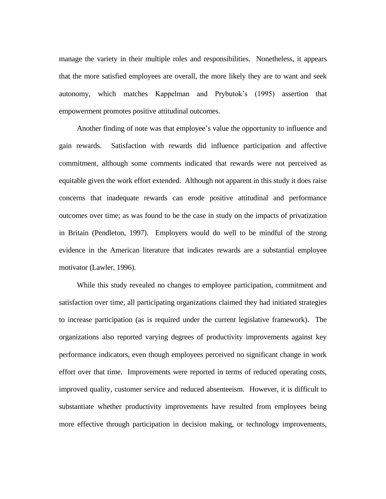manage the variety in their multiple roles and responsibilities. Nonetheless, it appears that the more satisfied employees are overall, the more likely they are to want and seek autonomy, which matches Kappelman and Prybutok's (1995) assertion that empowerment promotes positive attitudinal outcomes.

Another finding of note was that employee's value the opportunity to influence and gain rewards. Satisfaction with rewards did influence participation and affective commitment, although some comments indicated that rewards were not perceived as equitable given the work effort extended. Although not apparent in this study it does raise concerns that inadequate rewards can erode positive attitudinal and performance outcomes over time; as was found to be the case in study on the impacts of privatization in Britain (Pendleton, 1997). Employers would do well to be mindful of the strong evidence in the American literature that indicates rewards are a substantial employee motivator (Lawler, 1996).

While this study revealed no changes to employee participation, commitment and satisfaction over time, all participating organizations claimed they had initiated strategies to increase participation (as is required under the current legislative framework). The organizations also reported varying degrees of productivity improvements against key performance indicators, even though employees perceived no significant change in work effort over that time. Improvements were reported in terms of reduced operating costs, improved quality, customer service and reduced absenteeism. However, it is difficult to substantiate whether productivity improvements have resulted from employees being more effective through participation in decision making, or technology improvements,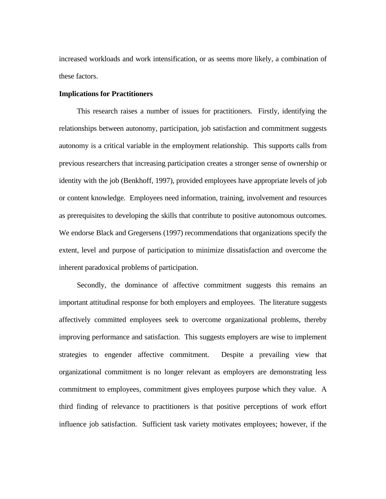increased workloads and work intensification, or as seems more likely, a combination of these factors.

#### **Implications for Practitioners**

This research raises a number of issues for practitioners. Firstly, identifying the relationships between autonomy, participation, job satisfaction and commitment suggests autonomy is a critical variable in the employment relationship. This supports calls from previous researchers that increasing participation creates a stronger sense of ownership or identity with the job (Benkhoff, 1997), provided employees have appropriate levels of job or content knowledge. Employees need information, training, involvement and resources as prerequisites to developing the skills that contribute to positive autonomous outcomes. We endorse Black and Gregersens (1997) recommendations that organizations specify the extent, level and purpose of participation to minimize dissatisfaction and overcome the inherent paradoxical problems of participation.

Secondly, the dominance of affective commitment suggests this remains an important attitudinal response for both employers and employees. The literature suggests affectively committed employees seek to overcome organizational problems, thereby improving performance and satisfaction. This suggests employers are wise to implement strategies to engender affective commitment. Despite a prevailing view that organizational commitment is no longer relevant as employers are demonstrating less commitment to employees, commitment gives employees purpose which they value. A third finding of relevance to practitioners is that positive perceptions of work effort influence job satisfaction. Sufficient task variety motivates employees; however, if the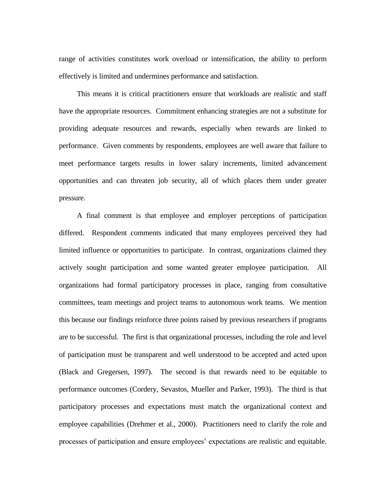range of activities constitutes work overload or intensification, the ability to perform effectively is limited and undermines performance and satisfaction.

This means it is critical practitioners ensure that workloads are realistic and staff have the appropriate resources. Commitment enhancing strategies are not a substitute for providing adequate resources and rewards, especially when rewards are linked to performance. Given comments by respondents, employees are well aware that failure to meet performance targets results in lower salary increments, limited advancement opportunities and can threaten job security, all of which places them under greater pressure.

A final comment is that employee and employer perceptions of participation differed. Respondent comments indicated that many employees perceived they had limited influence or opportunities to participate. In contrast, organizations claimed they actively sought participation and some wanted greater employee participation. All organizations had formal participatory processes in place, ranging from consultative committees, team meetings and project teams to autonomous work teams. We mention this because our findings reinforce three points raised by previous researchers if programs are to be successful. The first is that organizational processes, including the role and level of participation must be transparent and well understood to be accepted and acted upon (Black and Gregersen, 1997). The second is that rewards need to be equitable to performance outcomes (Cordery, Sevastos, Mueller and Parker, 1993). The third is that participatory processes and expectations must match the organizational context and employee capabilities (Drehmer et al., 2000). Practitioners need to clarify the role and processes of participation and ensure employees' expectations are realistic and equitable.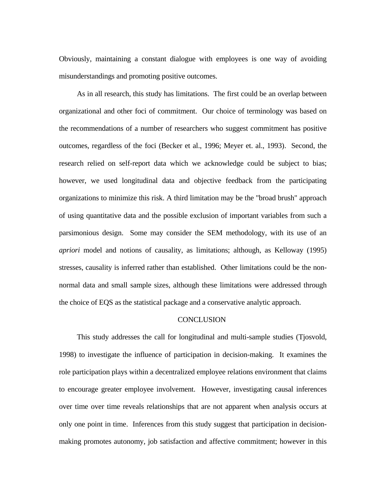Obviously, maintaining a constant dialogue with employees is one way of avoiding misunderstandings and promoting positive outcomes.

As in all research, this study has limitations. The first could be an overlap between organizational and other foci of commitment. Our choice of terminology was based on the recommendations of a number of researchers who suggest commitment has positive outcomes, regardless of the foci (Becker et al., 1996; Meyer et. al., 1993). Second, the research relied on self-report data which we acknowledge could be subject to bias; however, we used longitudinal data and objective feedback from the participating organizations to minimize this risk. A third limitation may be the "broad brush" approach of using quantitative data and the possible exclusion of important variables from such a parsimonious design. Some may consider the SEM methodology, with its use of an *apriori* model and notions of causality, as limitations; although, as Kelloway (1995) stresses, causality is inferred rather than established. Other limitations could be the nonnormal data and small sample sizes, although these limitations were addressed through the choice of EQS as the statistical package and a conservative analytic approach.

#### **CONCLUSION**

This study addresses the call for longitudinal and multi-sample studies (Tjosvold, 1998) to investigate the influence of participation in decision-making. It examines the role participation plays within a decentralized employee relations environment that claims to encourage greater employee involvement. However, investigating causal inferences over time over time reveals relationships that are not apparent when analysis occurs at only one point in time. Inferences from this study suggest that participation in decisionmaking promotes autonomy, job satisfaction and affective commitment; however in this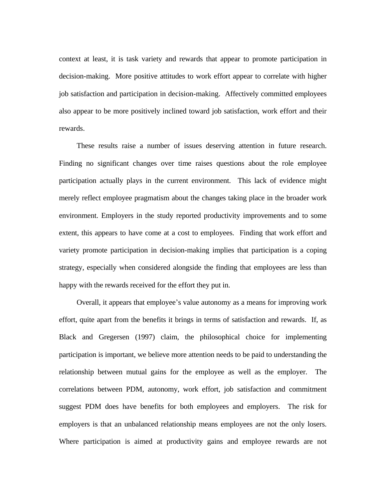context at least, it is task variety and rewards that appear to promote participation in decision-making. More positive attitudes to work effort appear to correlate with higher job satisfaction and participation in decision-making. Affectively committed employees also appear to be more positively inclined toward job satisfaction, work effort and their rewards.

These results raise a number of issues deserving attention in future research. Finding no significant changes over time raises questions about the role employee participation actually plays in the current environment. This lack of evidence might merely reflect employee pragmatism about the changes taking place in the broader work environment. Employers in the study reported productivity improvements and to some extent, this appears to have come at a cost to employees. Finding that work effort and variety promote participation in decision-making implies that participation is a coping strategy, especially when considered alongside the finding that employees are less than happy with the rewards received for the effort they put in.

Overall, it appears that employee's value autonomy as a means for improving work effort, quite apart from the benefits it brings in terms of satisfaction and rewards. If, as Black and Gregersen (1997) claim, the philosophical choice for implementing participation is important, we believe more attention needs to be paid to understanding the relationship between mutual gains for the employee as well as the employer. The correlations between PDM, autonomy, work effort, job satisfaction and commitment suggest PDM does have benefits for both employees and employers. The risk for employers is that an unbalanced relationship means employees are not the only losers. Where participation is aimed at productivity gains and employee rewards are not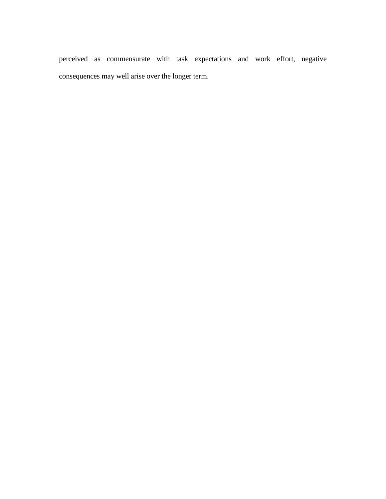perceived as commensurate with task expectations and work effort, negative consequences may well arise over the longer term.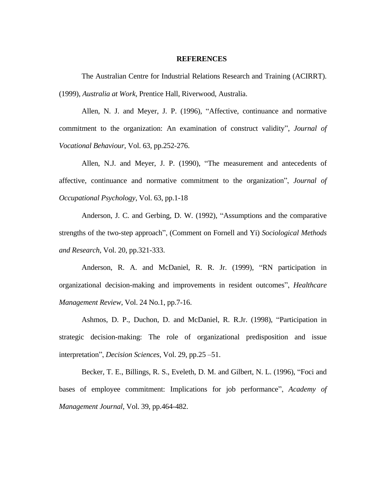#### **REFERENCES**

The Australian Centre for Industrial Relations Research and Training (ACIRRT). (1999), *Australia at Work,* Prentice Hall, Riverwood, Australia.

Allen, N. J. and Meyer, J. P. (1996), "Affective, continuance and normative commitment to the organization: An examination of construct validity", *Journal of Vocational Behaviour*, Vol. 63, pp.252-276.

Allen, N.J. and Meyer, J. P. (1990), "The measurement and antecedents of affective, continuance and normative commitment to the organization", *Journal of Occupational Psychology*, Vol. 63, pp.1-18

Anderson, J. C. and Gerbing, D. W. (1992), "Assumptions and the comparative strengths of the two-step approach", (Comment on Fornell and Yi) *Sociological Methods and Research*, Vol. 20, pp.321-333.

Anderson, R. A. and McDaniel, R. R. Jr. (1999), "RN participation in organizational decision-making and improvements in resident outcomes", *Healthcare Management Review*, Vol. 24 No.1, pp.7-16.

Ashmos, D. P., Duchon, D. and McDaniel, R. R.Jr. (1998), "Participation in strategic decision-making: The role of organizational predisposition and issue interpretation", *Decision Sciences*, Vol. 29, pp.25 –51.

Becker, T. E., Billings, R. S., Eveleth, D. M. and Gilbert, N. L. (1996), "Foci and bases of employee commitment: Implications for job performance", *Academy of Management Journal*, Vol. 39, pp.464-482.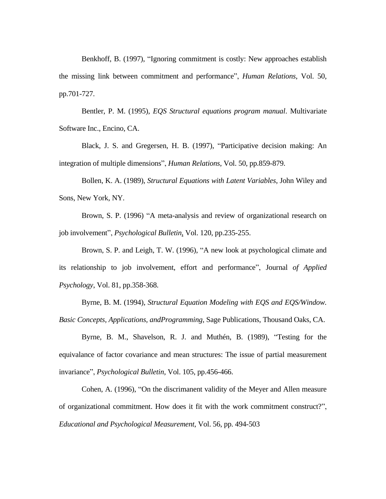Benkhoff, B. (1997), "Ignoring commitment is costly: New approaches establish the missing link between commitment and performance", *Human Relations*, Vol. 50, pp.701-727.

Bentler, P. M. (1995), *EQS Structural equations program manual*. Multivariate Software Inc., Encino, CA.

Black, J. S. and Gregersen, H. B. (1997), "Participative decision making: An integration of multiple dimensions", *Human Relations*, Vol. 50, pp.859-879.

Bollen, K. A. (1989), *Structural Equations with Latent Variables*, John Wiley and Sons, New York, NY.

Brown, S. P. (1996) "A meta-analysis and review of organizational research on job involvement", *Psychological Bulletin*, Vol. 120, pp.235-255.

Brown, S. P. and Leigh, T. W. (1996), "A new look at psychological climate and its relationship to job involvement, effort and performance", Journal *of Applied Psychology*, Vol. 81, pp.358-368.

Byrne, B. M. (1994), *Structural Equation Modeling with EQS and EQS/Window. Basic Concepts, Applications, andProgramming,* Sage Publications, Thousand Oaks, CA.

Byrne, B. M., Shavelson, R. J. and Muthén, B. (1989), "Testing for the equivalance of factor covariance and mean structures: The issue of partial measurement invariance", *Psychological Bulletin*, Vol. 105, pp.456-466.

Cohen, A. (1996), "On the discrimanent validity of the Meyer and Allen measure of organizational commitment. How does it fit with the work commitment construct?", *Educational and Psychological Measurement*, Vol. 56, pp. 494-503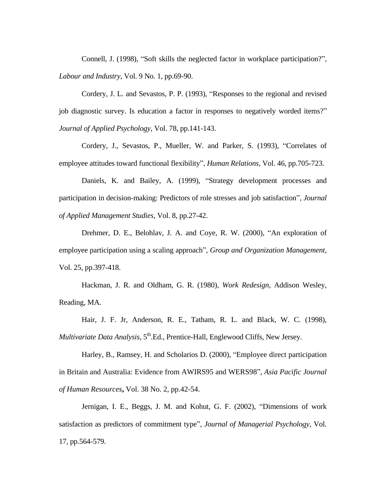Connell, J. (1998), "Soft skills the neglected factor in workplace participation?", *Labour and Industry*, Vol. 9 No. 1, pp.69-90.

Cordery, J. L. and Sevastos, P. P. (1993), "Responses to the regional and revised job diagnostic survey. Is education a factor in responses to negatively worded items?" *Journal of Applied Psychology*, Vol. 78, pp.141-143.

Cordery, J., Sevastos, P., Mueller, W. and Parker, S. (1993), "Correlates of employee attitudes toward functional flexibility", *Human Relations*, Vol. 46, pp.705-723.

Daniels, K. and Bailey, A. (1999), "Strategy development processes and participation in decision-making: Predictors of role stresses and job satisfaction", *Journal of Applied Management Studies*, Vol. 8, pp.27-42.

Drehmer, D. E., Belohlav, J. A. and Coye, R. W. (2000), "An exploration of employee participation using a scaling approach", *Group and Organization Management*, Vol. 25, pp.397-418.

Hackman, J. R. and Oldham, G. R. (1980), *Work Redesign,* Addison Wesley, Reading, MA.

Hair, J. F. Jr, Anderson, R. E., Tatham, R. L. and Black, W. C. (1998), Multivariate Data Analysis, 5<sup>th</sup>.Ed., Prentice-Hall, Englewood Cliffs, New Jersey.

Harley, B., Ramsey, H. and Scholarios D. (2000), ["Employee direct participation](javascript:bkmUrl()  [in Britain and Australia: Evidence from AWIRS95 and WERS98",](javascript:bkmUrl() *Asia Pacific Journal of Human Resources***,** Vol. 38 No. 2, pp.42-54.

Jernigan, I. E., Beggs, J. M. and Kohut, G. F. (2002), "Dimensions of work satisfaction as predictors of commitment type", *Journal of Managerial Psychology*, Vol. 17, pp.564-579.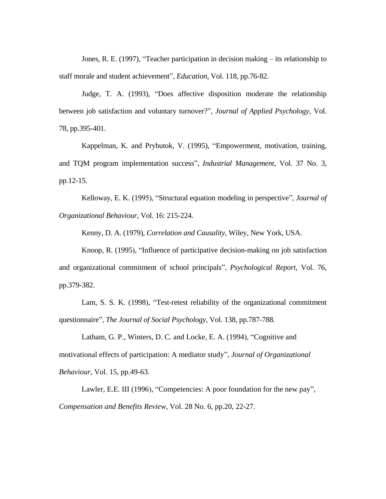Jones, R. E. (1997), "Teacher participation in decision making – its relationship to staff morale and student achievement", *Education*, Vol. 118, pp.76-82.

Judge, T. A. (1993), "Does affective disposition moderate the relationship between job satisfaction and voluntary turnover?", *Journal of Applied Psychology*, Vol. 78, pp.395-401.

Kappelman, K. and Prybutok, V. (1995), "Empowerment, motivation, training, and TQM program implementation success", *Industrial Management*, Vol. 37 No. 3, pp.12-15.

Kelloway, E. K. (1995), "Structural equation modeling in perspective", *Journal of Organizational Behaviour*, Vol. 16: 215-224.

Kenny, D. A. (1979), *Correlation and Causality*, Wiley, New York, USA.

Knoop, R. (1995), "Influence of participative decision-making on job satisfaction and organizational commitment of school principals", *Psychological Report*, Vol. 76, pp.379-382.

Lam, S. S. K. (1998), "Test-retest reliability of the organizational commitment questionnaire", *The Journal of Social Psychology*, Vol. 138, pp.787-788.

Latham, G. P., Winters, D. C. and Locke, E. A. (1994), "Cognitive and motivational effects of participation: A mediator study", *Journal of Organizational Behaviour*, Vol. 15, pp.49-63.

Lawler, E.E. III (1996), "Competencies: A poor foundation for the new pay", *Compensation and Benefits Review*, Vol. 28 No. 6, pp.20, 22-27.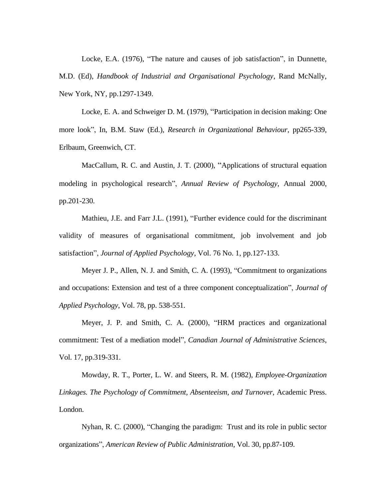Locke, E.A. (1976), "The nature and causes of job satisfaction", in Dunnette, M.D. (Ed), *Handbook of Industrial and Organisational Psychology*, Rand McNally, New York, NY, pp.1297-1349.

Locke, E. A. and Schweiger D. M. (1979), "Participation in decision making: One more look", In, B.M. Staw (Ed.), *Research in Organizational Behaviour,* pp265-339, Erlbaum, Greenwich, CT.

MacCallum, R. C. and Austin, J. T. (2000), "Applications of structural equation modeling in psychological research", *Annual Review of Psychology*, Annual 2000, pp.201-230.

Mathieu, J.E. and Farr J.L. (1991), "Further evidence could for the discriminant validity of measures of organisational commitment, job involvement and job satisfaction", *Journal of Applied Psychology*, Vol. 76 No. 1, pp.127-133.

Meyer J. P., Allen, N. J. and Smith, C. A. (1993), "Commitment to organizations and occupations: Extension and test of a three component conceptualization", *Journal of Applied Psychology*, Vol. 78, pp. 538-551.

Meyer, J. P. and Smith, C. A. (2000), "HRM practices and organizational commitment: Test of a mediation model", *Canadian Journal of Administrative Sciences*, Vol. 17, pp.319-331.

Mowday, R. T., Porter, L. W. and Steers, R. M. (1982), *Employee-Organization Linkages. The Psychology of Commitment, Absenteeism, and Turnover*, Academic Press. London.

Nyhan, R. C. (2000), "Changing the paradigm: Trust and its role in public sector organizations", *American Review of Public Administration*, Vol. 30, pp.87-109.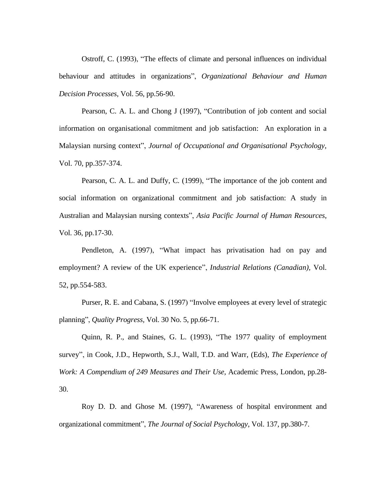Ostroff, C. (1993), "The effects of climate and personal influences on individual behaviour and attitudes in organizations", *Organizational Behaviour and Human Decision Processes*, Vol. 56, pp.56-90.

Pearson, C. A. L. and Chong J (1997), "Contribution of job content and social information on organisational commitment and job satisfaction: An exploration in a Malaysian nursing context", *Journal of Occupational and Organisational Psychology,*  Vol. 70, pp.357-374.

Pearson, C. A. L. and Duffy, C. (1999), "The importance of the job content and social information on organizational commitment and job satisfaction: A study in Australian and Malaysian nursing contexts", *Asia Pacific Journal of Human Resources*, Vol. 36, pp.17-30.

Pendleton, A. (1997), "What impact has privatisation had on pay and employment? A review of the UK experience", *Industrial Relations (Canadian),* Vol. 52, pp.554-583.

Purser, R. E. and Cabana, S. (1997) "Involve employees at every level of strategic planning", *Quality Progress,* Vol. 30 No. 5, pp.66-71.

Quinn, R. P., and Staines, G. L. (1993), "The 1977 quality of employment survey", in Cook, J.D., Hepworth, S.J., Wall, T.D. and Warr, (Eds), *The Experience of Work: A Compendium of 249 Measures and Their Use,* Academic Press, London, pp.28- 30.

Roy D. D. and Ghose M. (1997), "Awareness of hospital environment and organizational commitment", *The Journal of Social Psychology*, Vol. 137, pp.380-7.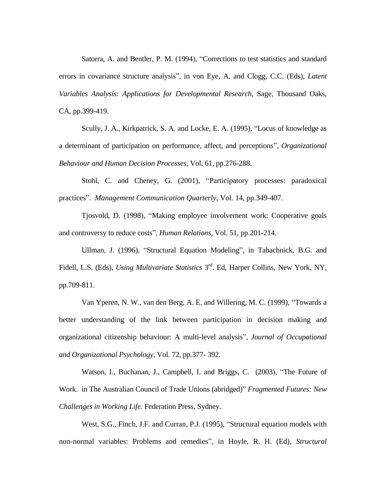Satorra, A. and Bentler, P. M. (1994), "Corrections to test statistics and standard errors in covariance structure analysis", in von Eye, A. and Clogg, C.C. (Eds), *Latent Variables Analysis: Applications for Developmental Research,* Sage, Thousand Oaks, CA, pp.399-419.

Scully, J. A., Kirkpatrick, S. A. and Locke, E. A. (1995), "Locus of knowledge as a determinant of participation on performance, affect, and perceptions", *Organizational Behaviour and Human Decision Processes*, Vol. 61, pp.276-288.

Stohl, C. and Cheney, G. (2001), "Participatory processes: paradoxical practices". *Management Communication Quarterly*, Vol. 14, pp.349-407.

Tjosvold, D. (1998), "Making employee involvement work: Cooperative goals and controversy to reduce costs", *Human Relations*, Vol. 51, pp.201-214.

Ullman, J. (1996), "Structural Equation Modeling", in Tabachnick, B.G. and Fidell, L.S. (Eds), *Using Multivariate Statistics* 3<sup>rd</sup>. Ed, Harper Collins, New York, NY, pp.709-811.

Van Yperen, N. W., van den Berg, A. E. and Willering, M. C. (1999), "Towards a better understanding of the link between participation in decision making and organizational citizenship behaviour: A multi-level analysis", *Journal of Occupational and Organizational Psychology*, Vol. 72, pp.377- 392.

Watson, I., Buchanan, J., Campbell, I. and Briggs, C. (2003), "The Future of Work. in The Australian Council of Trade Unions (abridged)" *Fragmented Futures: New Challenges in Working Life.* Federation Press, Sydney.

West, S.G., Finch, J.F. and Curran, P.J. (1995), "Structural equation models with non-normal variables: Problems and remedies", in Hoyle, R. H. (Ed), *Structural*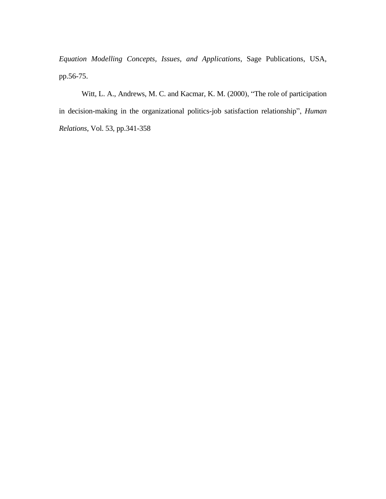*Equation Modelling Concepts, Issues, and Applications*, Sage Publications, USA, pp.56-75.

Witt, L. A., Andrews, M. C. and Kacmar, K. M. (2000), "The role of participation in decision-making in the organizational politics-job satisfaction relationship", *Human Relations*, Vol. 53, pp.341-358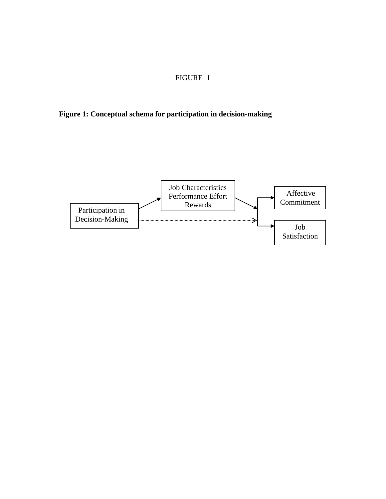# FIGURE 1

**Figure 1: Conceptual schema for participation in decision-making**

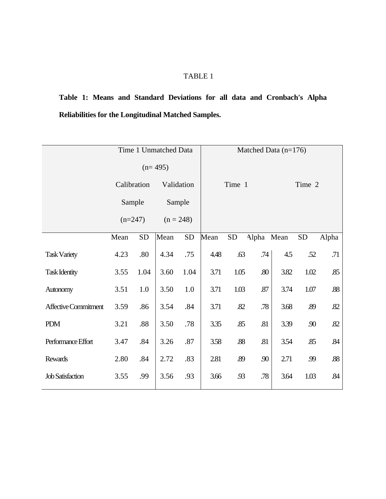**Table 1: Means and Standard Deviations for all data and Cronbach's Alpha Reliabilities for the Longitudinal Matched Samples.**

|                             | Time 1 Unmatched Data |           |             |           | Matched Data $(n=176)$ |           |            |        |           |       |  |  |
|-----------------------------|-----------------------|-----------|-------------|-----------|------------------------|-----------|------------|--------|-----------|-------|--|--|
|                             | $(n=495)$             |           |             |           |                        |           |            |        |           |       |  |  |
|                             | Calibration           |           | Validation  |           | Time 1                 |           |            | Time 2 |           |       |  |  |
|                             | Sample                |           | Sample      |           |                        |           |            |        |           |       |  |  |
|                             | $(n=247)$             |           | $(n = 248)$ |           |                        |           |            |        |           |       |  |  |
|                             | Mean                  | <b>SD</b> | Mean        | <b>SD</b> | Mean                   | <b>SD</b> | Alpha Mean |        | <b>SD</b> | Alpha |  |  |
| <b>Task Variety</b>         | 4.23                  | .80       | 4.34        | .75       | 4.48                   | .63       | .74        | 4.5    | .52       | .71   |  |  |
| <b>Task Identity</b>        | 3.55                  | 1.04      | 3.60        | 1.04      | 3.71                   | 1.05      | $.80\,$    | 3.82   | 1.02      | .85   |  |  |
| Autonomy                    | 3.51                  | 1.0       | 3.50        | 1.0       | 3.71                   | 1.03      | .87        | 3.74   | 1.07      | .88   |  |  |
| <b>Affective Commitment</b> | 3.59                  | .86       | 3.54        | .84       | 3.71                   | .82       | .78        | 3.68   | .89       | .82   |  |  |
| PDM                         | 3.21                  | .88       | 3.50        | .78       | 3.35                   | .85       | .81        | 3.39   | .90       | .82   |  |  |
| Performance Effort          | 3.47                  | .84       | 3.26        | .87       | 3.58                   | .88       | .81        | 3.54   | .85       | .84   |  |  |
| <b>Rewards</b>              | 2.80                  | .84       | 2.72        | .83       | 2.81                   | .89       | .90        | 2.71   | .99       | .88   |  |  |
| <b>Job Satisfaction</b>     | 3.55                  | .99       | 3.56        | .93       | 3.66                   | .93       | .78        | 3.64   | 1.03      | .84   |  |  |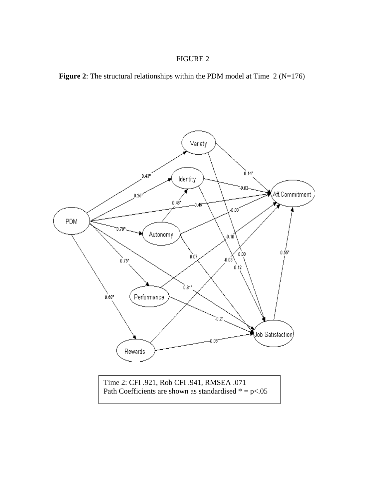## FIGURE 2



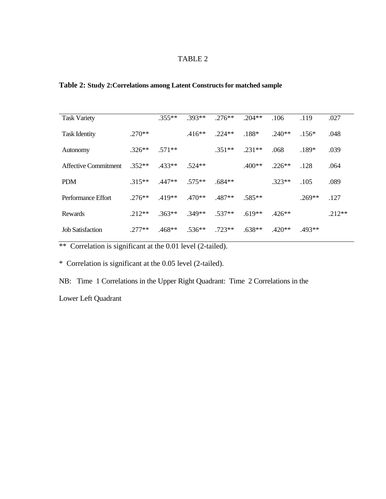# **Table 2: Study 2:Correlations among Latent Constructs for matched sample**

| <b>Task Variety</b>         |          | $.355**$ | $.393**$ | $.276**$ | $.204**$ | .106     | .119     | .027     |
|-----------------------------|----------|----------|----------|----------|----------|----------|----------|----------|
| <b>Task Identity</b>        | $.270**$ |          | $.416**$ | $.224**$ | $.188*$  | $.240**$ | $.156*$  | .048     |
| Autonomy                    | $.326**$ | $.571**$ |          | $.351**$ | $.231**$ | .068     | $.189*$  | .039     |
| <b>Affective Commitment</b> | $.352**$ | $.433**$ | $.524**$ |          | $.400**$ | $.226**$ | .128     | .064     |
| <b>PDM</b>                  | $.315**$ | $.447**$ | $.575**$ | $.684**$ |          | $.323**$ | .105     | .089     |
| Performance Effort          | $.276**$ | $.419**$ | $.470**$ | $.487**$ | $.585**$ |          | $.269**$ | .127     |
| Rewards                     | $.212**$ | $.363**$ | $.349**$ | $.537**$ | $.619**$ | $.426**$ |          | $.212**$ |
| <b>Job Satisfaction</b>     | $.277**$ | $.468**$ | $.536**$ | $.723**$ | $.638**$ | $.420**$ | $.493**$ |          |

\*\* Correlation is significant at the 0.01 level (2-tailed).

\* Correlation is significant at the 0.05 level (2-tailed).

NB: Time 1 Correlations in the Upper Right Quadrant: Time 2 Correlations in the

Lower Left Quadrant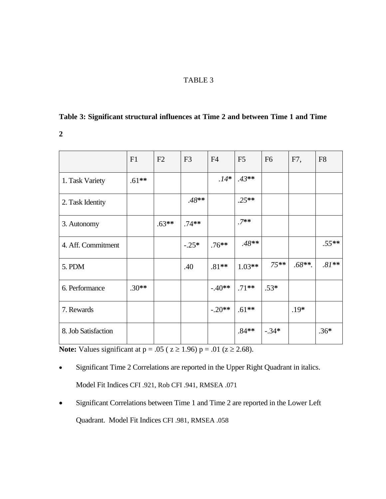# **Table 3: Significant structural influences at Time 2 and between Time 1 and Time**

**2** 

|                     | F1      | F2      | F <sub>3</sub> | F <sub>4</sub> | F <sub>5</sub> | F <sub>6</sub> | F7,       | F <sub>8</sub> |
|---------------------|---------|---------|----------------|----------------|----------------|----------------|-----------|----------------|
| 1. Task Variety     | $.61**$ |         |                | $.14*$         | $.43**$        |                |           |                |
| 2. Task Identity    |         |         | $.48**$        |                | $.25**$        |                |           |                |
| 3. Autonomy         |         | $.63**$ | $.74**$        |                | $.7**$         |                |           |                |
| 4. Aff. Commitment  |         |         | $-.25*$        | $.76**$        | $.48**$        |                |           | $.55**$        |
| 5. PDM              |         |         | .40            | $.81**$        | $1.03**$       | $75**$         | $.68**$ . | $.81**$        |
| 6. Performance      | $.30**$ |         |                | $-.40**$       | $.71**$        | $.53*$         |           |                |
| 7. Rewards          |         |         |                | $-.20**$       | $.61**$        |                | $.19*$    |                |
| 8. Job Satisfaction |         |         |                |                | $.84**$        | $-.34*$        |           | $.36*$         |

**Note:** Values significant at  $p = .05$  ( $z \ge 1.96$ )  $p = .01$  ( $z \ge 2.68$ ).

- Significant Time 2 Correlations are reported in the Upper Right Quadrant in italics. Model Fit Indices CFI .921, Rob CFI .941, RMSEA .071
- Significant Correlations between Time 1 and Time 2 are reported in the Lower Left Quadrant. Model Fit Indices CFI .981, RMSEA .058